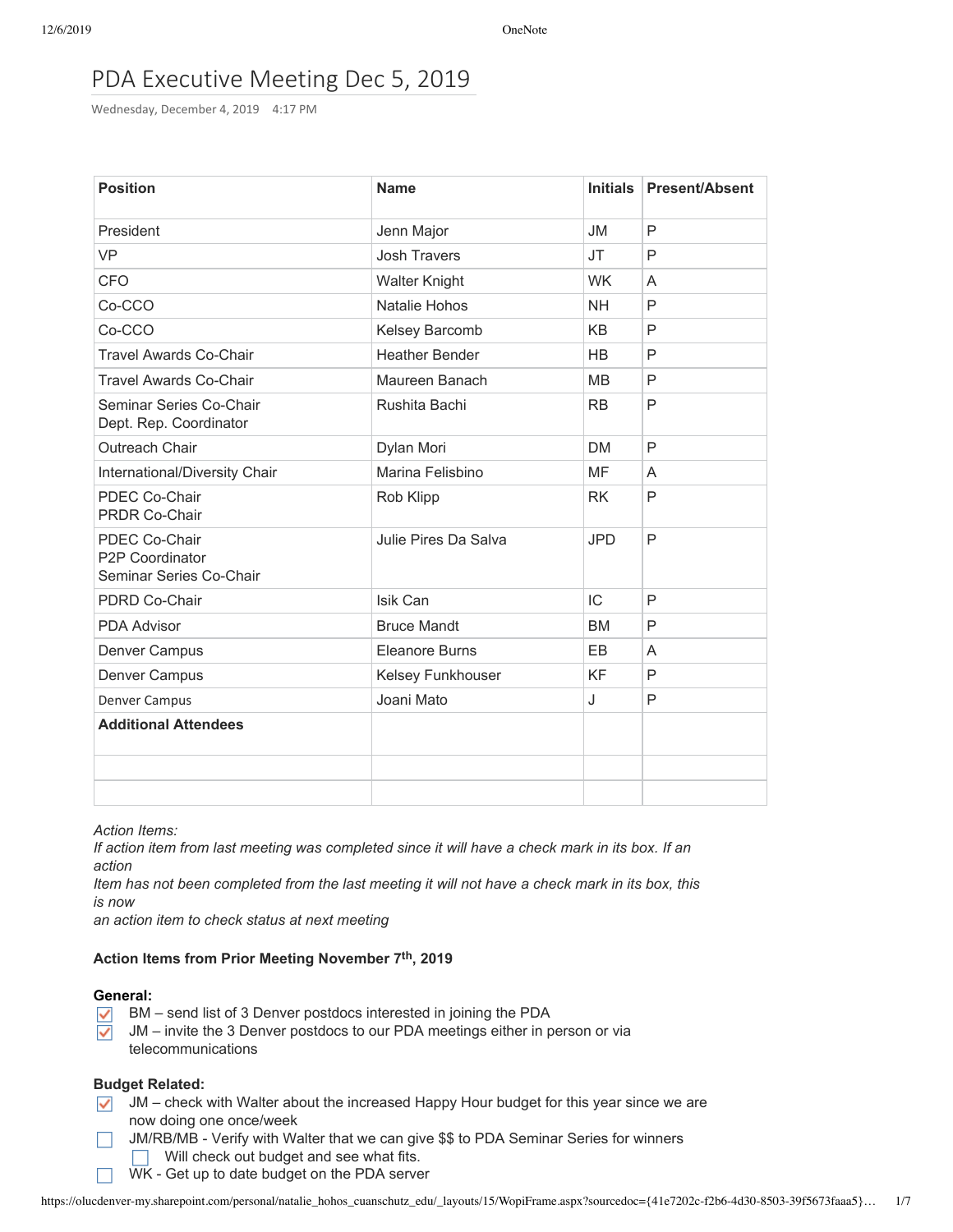# PDA Executive Meeting Dec 5, 2019

Wednesday, December 4, 2019 4:17 PM

| <b>Position</b>                                             | <b>Name</b>           | <b>Initials</b> | <b>Present/Absent</b> |
|-------------------------------------------------------------|-----------------------|-----------------|-----------------------|
| President                                                   | Jenn Major            | <b>JM</b>       | P                     |
| <b>VP</b>                                                   | <b>Josh Travers</b>   | <b>JT</b>       | P                     |
| <b>CFO</b>                                                  | <b>Walter Knight</b>  | <b>WK</b>       | A                     |
| Co-CCO                                                      | Natalie Hohos         | <b>NH</b>       | P                     |
| Co-CCO                                                      | Kelsey Barcomb        | <b>KB</b>       | P                     |
| <b>Travel Awards Co-Chair</b>                               | <b>Heather Bender</b> | <b>HB</b>       | P                     |
| <b>Travel Awards Co-Chair</b>                               | Maureen Banach        | MB              | P                     |
| Seminar Series Co-Chair<br>Dept. Rep. Coordinator           | Rushita Bachi         | <b>RB</b>       | P                     |
| Outreach Chair                                              | Dylan Mori            | <b>DM</b>       | P                     |
| International/Diversity Chair                               | Marina Felisbino      | MF              | A                     |
| PDEC Co-Chair<br><b>PRDR Co-Chair</b>                       | Rob Klipp             | <b>RK</b>       | P                     |
| PDEC Co-Chair<br>P2P Coordinator<br>Seminar Series Co-Chair | Julie Pires Da Salva  | <b>JPD</b>      | P                     |
| PDRD Co-Chair                                               | Isik Can              | IC              | P                     |
| <b>PDA Advisor</b>                                          | <b>Bruce Mandt</b>    | <b>BM</b>       | P                     |
| Denver Campus                                               | Eleanore Burns        | EB.             | A                     |
| Denver Campus                                               | Kelsey Funkhouser     | KF              | P                     |
| Denver Campus                                               | Joani Mato            | J               | P                     |
| <b>Additional Attendees</b>                                 |                       |                 |                       |
|                                                             |                       |                 |                       |
|                                                             |                       |                 |                       |

*Action Items:*

If action item from last meeting was completed since it will have a check mark in its box. If an *action*

Item has not been completed from the last meeting it will not have a check mark in its box, this *is now*

*an action item to check status at next meeting*

### **Action Items from Prior Meeting November 7th, 2019**

# **General:**

- BM send list of 3 Denver postdocs interested in joining the PDA  $\checkmark$
- JM invite the 3 Denver postdocs to our PDA meetings either in person or via  $\checkmark$ telecommunications

### **Budget Related:**

- $\sqrt{\phantom{a}}$  JM check with Walter about the increased Happy Hour budget for this year since we are now doing one once/week
- JM/RB/MB Verify with Walter that we can give \$\$ to PDA Seminar Series for winners  $\Box$  $\Box$  Will check out budget and see what fits.
	- WK Get up to date budget on the PDA server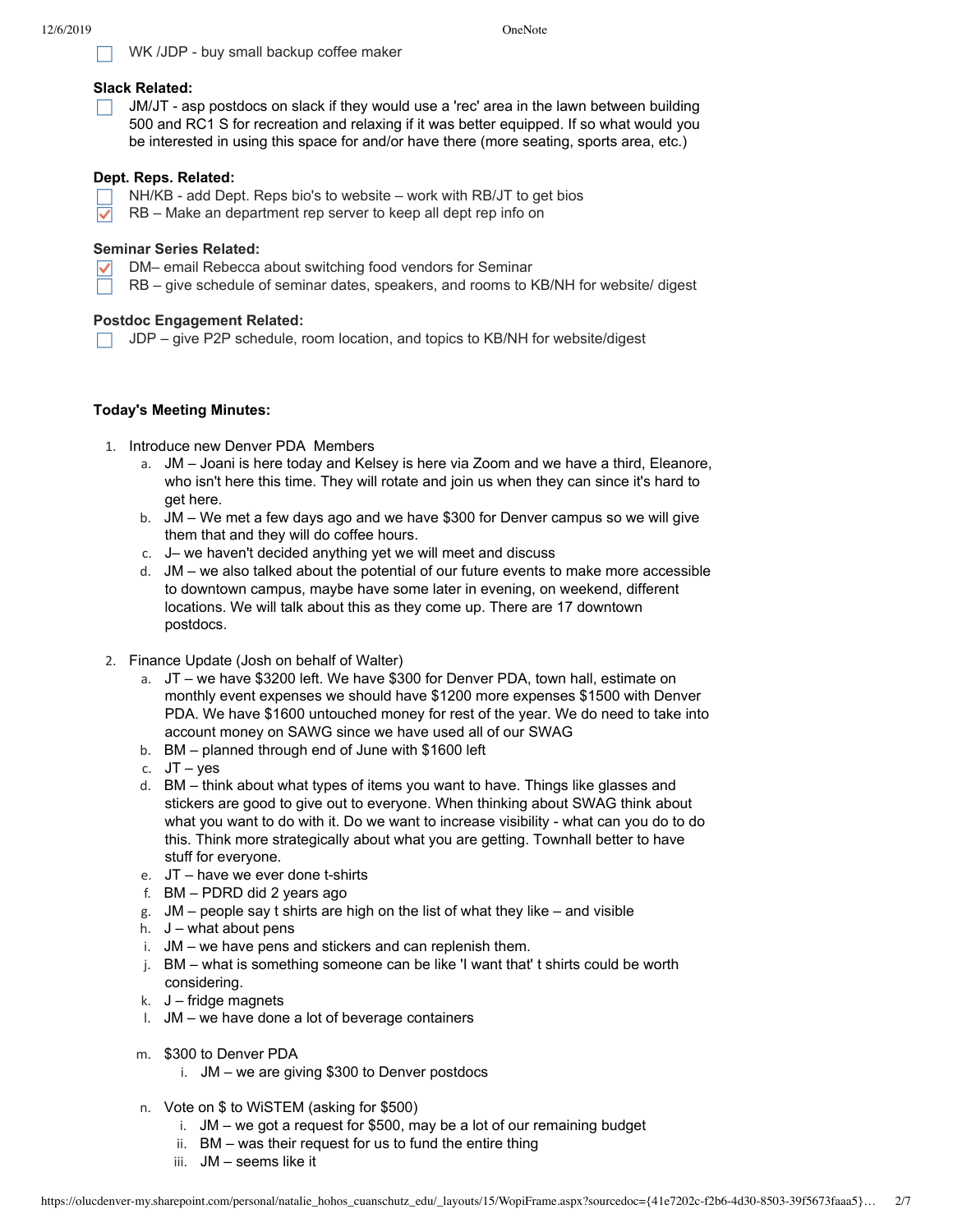# $\Box$  WK /JDP - buy small backup coffee maker

# **Slack Related:**

 $\Box$  JM/JT - asp postdocs on slack if they would use a 'rec' area in the lawn between building 500 and RC1 S for recreation and relaxing if it was better equipped. If so what would you be interested in using this space for and/or have there (more seating, sports area, etc.)

# **Dept. Reps. Related:**

- NH/KB add Dept. Reps bio's to website work with RB/JT to get bios
- RB Make an department rep server to keep all dept rep info on  $\checkmark$

# **Seminar Series Related:**

- DM– email Rebecca about switching food vendors for Seminar
- $\nabla$  RB give schedule of seminar dates, speakers, and rooms to KB/NH for website/ digest

# **Postdoc Engagement Related:**

 $\Box$  JDP – give P2P schedule, room location, and topics to KB/NH for website/digest

# **Today's Meeting Minutes:**

- 1. Introduce new Denver PDA Members
	- a. JM Joani is here today and Kelsey is here via Zoom and we have a third, Eleanore, who isn't here this time. They will rotate and join us when they can since it's hard to get here.
	- b. JM We met a few days ago and we have \$300 for Denver campus so we will give them that and they will do coffee hours.
	- c. J– we haven't decided anything yet we will meet and discuss
	- d. JM we also talked about the potential of our future events to make more accessible to downtown campus, maybe have some later in evening, on weekend, different locations. We will talk about this as they come up. There are 17 downtown postdocs.
- 2. Finance Update (Josh on behalf of Walter)
	- a. JT we have \$3200 left. We have \$300 for Denver PDA, town hall, estimate on monthly event expenses we should have \$1200 more expenses \$1500 with Denver PDA. We have \$1600 untouched money for rest of the year. We do need to take into account money on SAWG since we have used all of our SWAG
	- b. BM planned through end of June with \$1600 left
	- c. JT yes
	- d. BM think about what types of items you want to have. Things like glasses and stickers are good to give out to everyone. When thinking about SWAG think about what you want to do with it. Do we want to increase visibility - what can you do to do this. Think more strategically about what you are getting. Townhall better to have stuff for everyone.
	- e. JT have we ever done t-shirts
	- f. BM PDRD did 2 years ago
	- g.  $JM$  people say t shirts are high on the list of what they like and visible
	- h.  $J$  what about pens
	- i. JM we have pens and stickers and can replenish them.
	- j. BM what is something someone can be like 'I want that' t shirts could be worth considering.
	- $k.$  J fridge magnets
	- l. JM we have done a lot of beverage containers
	- m. \$300 to Denver PDA
		- i. JM we are giving \$300 to Denver postdocs
	- n. Vote on \$ to WiSTEM (asking for \$500)
		- i. JM we got a request for \$500, may be a lot of our remaining budget
		- ii. BM was their request for us to fund the entire thing
		- iii. JM seems like it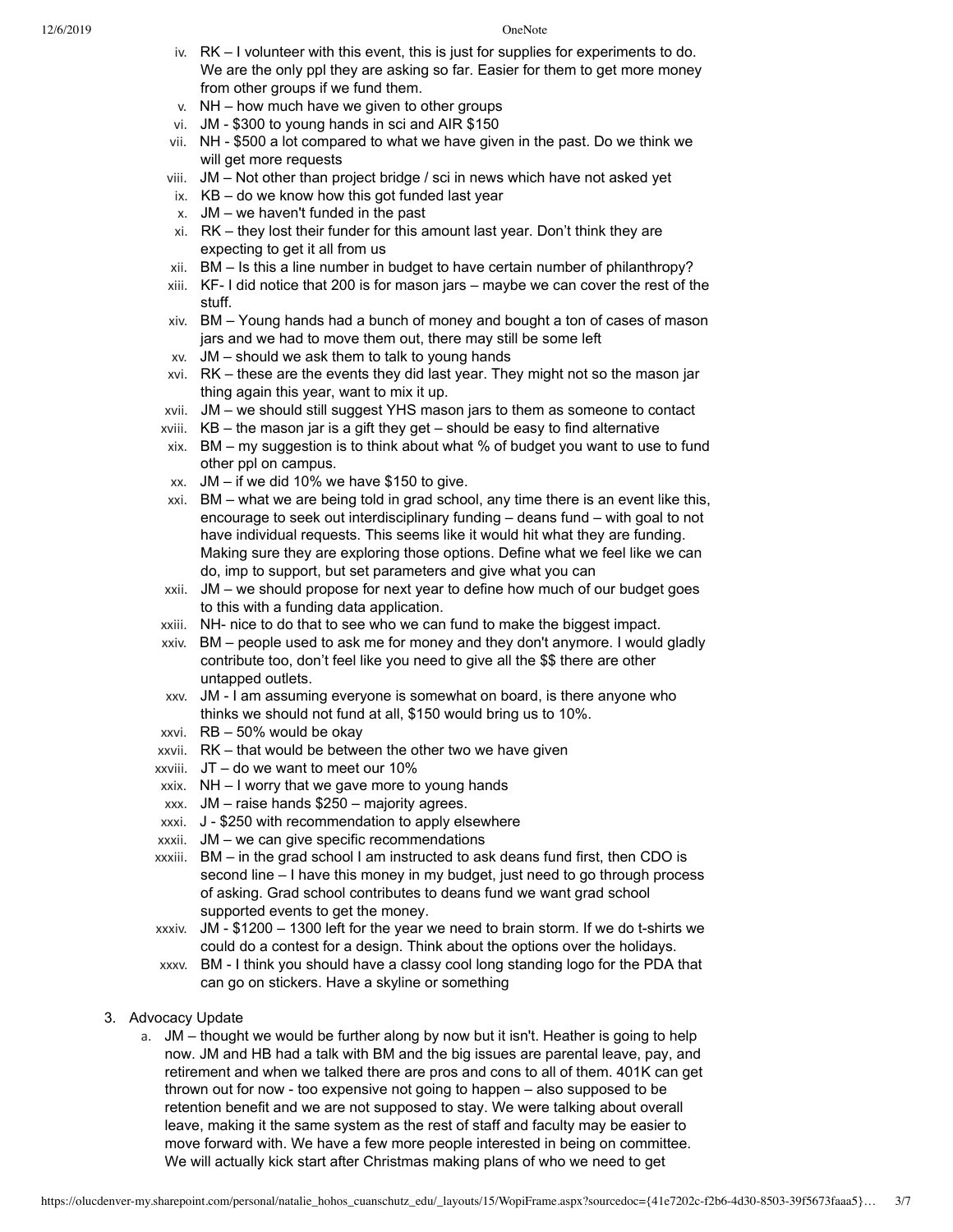- iv. RK I volunteer with this event, this is just for supplies for experiments to do. We are the only ppl they are asking so far. Easier for them to get more money from other groups if we fund them.
- v. NH how much have we given to other groups
- vi. JM \$300 to young hands in sci and AIR \$150
- vii. NH \$500 a lot compared to what we have given in the past. Do we think we will get more requests
- viii. JM Not other than project bridge / sci in news which have not asked yet
- ix.  $KB do$  we know how this got funded last year
- x. JM we haven't funded in the past
- xi. RK they lost their funder for this amount last year. Don't think they are expecting to get it all from us
- xii. BM Is this a line number in budget to have certain number of philanthropy?
- xiii. KF- I did notice that 200 is for mason jars maybe we can cover the rest of the stuff.
- xiv. BM Young hands had a bunch of money and bought a ton of cases of mason jars and we had to move them out, there may still be some left
- xv. JM should we ask them to talk to young hands
- xvi. RK these are the events they did last year. They might not so the mason jar thing again this year, want to mix it up.
- xvii. JM we should still suggest YHS mason jars to them as someone to contact
- xviii. KB the mason jar is a gift they get should be easy to find alternative
- xix. BM my suggestion is to think about what % of budget you want to use to fund other ppl on campus.
- xx. JM if we did 10% we have \$150 to give.
- xxi. BM what we are being told in grad school, any time there is an event like this, encourage to seek out interdisciplinary funding – deans fund – with goal to not have individual requests. This seems like it would hit what they are funding. Making sure they are exploring those options. Define what we feel like we can do, imp to support, but set parameters and give what you can
- xxii. JM we should propose for next year to define how much of our budget goes to this with a funding data application.
- xxiii. NH- nice to do that to see who we can fund to make the biggest impact.
- xxiv. BM people used to ask me for money and they don't anymore. I would gladly contribute too, don't feel like you need to give all the \$\$ there are other untapped outlets.
- xxv. JM I am assuming everyone is somewhat on board, is there anyone who thinks we should not fund at all, \$150 would bring us to 10%.
- xxvi. RB 50% would be okay
- xxvii. RK that would be between the other two we have given
- xxviii. JT do we want to meet our 10%
- xxix. NH I worry that we gave more to young hands
- xxx. JM raise hands \$250 majority agrees.
- xxxi. J \$250 with recommendation to apply elsewhere
- xxxii. JM we can give specific recommendations
- xxxiii. BM in the grad school I am instructed to ask deans fund first, then CDO is second line – I have this money in my budget, just need to go through process of asking. Grad school contributes to deans fund we want grad school supported events to get the money.
- xxxiv. JM \$1200 1300 left for the year we need to brain storm. If we do t-shirts we could do a contest for a design. Think about the options over the holidays.
- xxxv. BM I think you should have a classy cool long standing logo for the PDA that can go on stickers. Have a skyline or something
- 3. Advocacy Update
	- a. JM thought we would be further along by now but it isn't. Heather is going to help now. JM and HB had a talk with BM and the big issues are parental leave, pay, and retirement and when we talked there are pros and cons to all of them. 401K can get thrown out for now - too expensive not going to happen – also supposed to be retention benefit and we are not supposed to stay. We were talking about overall leave, making it the same system as the rest of staff and faculty may be easier to move forward with. We have a few more people interested in being on committee. We will actually kick start after Christmas making plans of who we need to get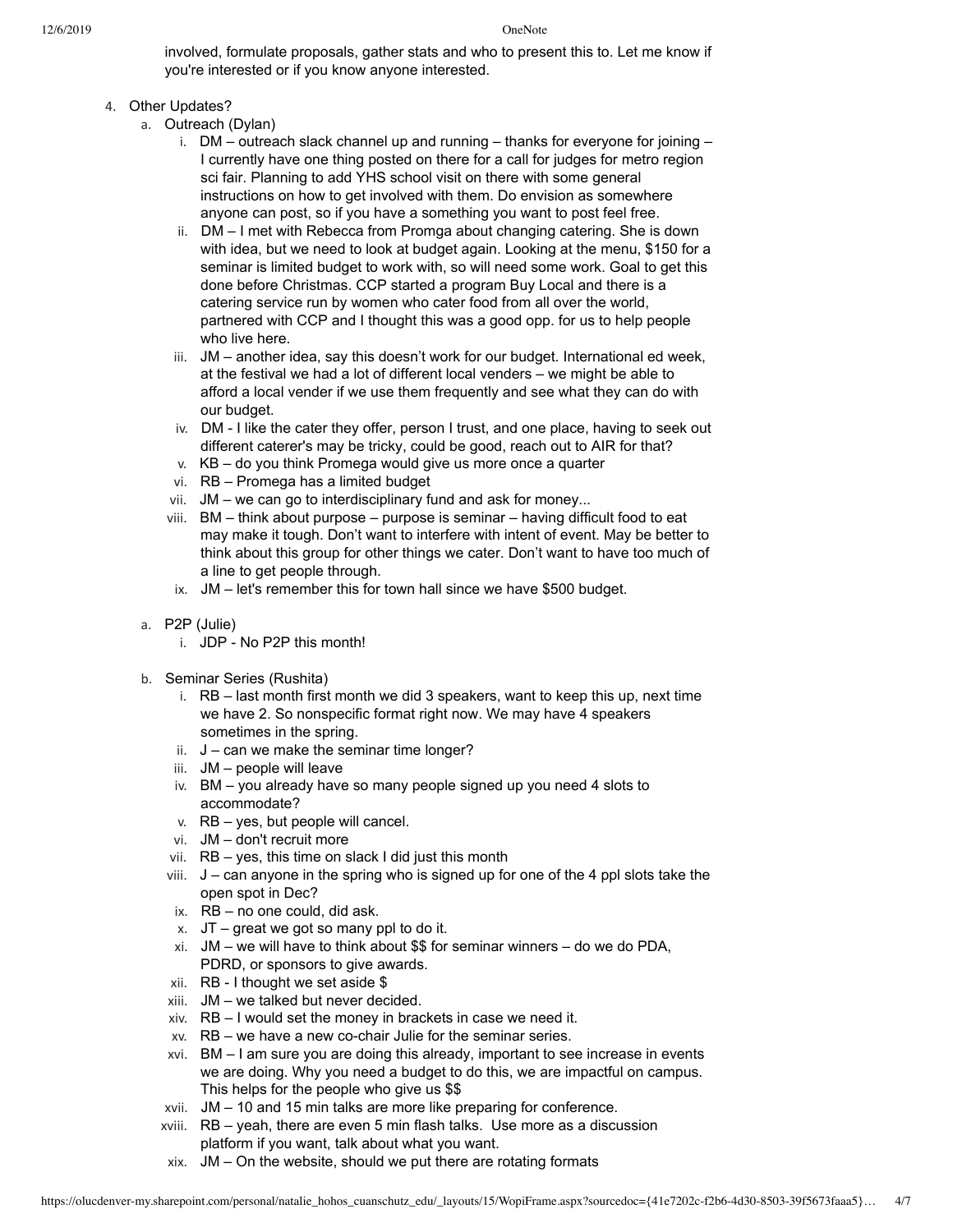involved, formulate proposals, gather stats and who to present this to. Let me know if you're interested or if you know anyone interested.

# 4. Other Updates?

- a. Outreach (Dylan)
	- i.  $DM$  outreach slack channel up and running thanks for everyone for joining I currently have one thing posted on there for a call for judges for metro region sci fair. Planning to add YHS school visit on there with some general instructions on how to get involved with them. Do envision as somewhere anyone can post, so if you have a something you want to post feel free.
	- ii. DM I met with Rebecca from Promga about changing catering. She is down with idea, but we need to look at budget again. Looking at the menu, \$150 for a seminar is limited budget to work with, so will need some work. Goal to get this done before Christmas. CCP started a program Buy Local and there is a catering service run by women who cater food from all over the world, partnered with CCP and I thought this was a good opp. for us to help people who live here.
	- iii. JM another idea, say this doesn't work for our budget. International ed week, at the festival we had a lot of different local venders – we might be able to afford a local vender if we use them frequently and see what they can do with our budget.
	- iv. DM I like the cater they offer, person I trust, and one place, having to seek out different caterer's may be tricky, could be good, reach out to AIR for that?
	- v. KB do you think Promega would give us more once a quarter
	- vi. RB Promega has a limited budget
	- vii. JM we can go to interdisciplinary fund and ask for money...
	- viii. BM think about purpose purpose is seminar having difficult food to eat may make it tough. Don't want to interfere with intent of event. May be better to think about this group for other things we cater. Don't want to have too much of a line to get people through.
	- ix. JM let's remember this for town hall since we have \$500 budget.
- a. P2P (Julie)
	- i. JDP No P2P this month!
- b. Seminar Series (Rushita)
	- i. RB last month first month we did 3 speakers, want to keep this up, next time we have 2. So nonspecific format right now. We may have 4 speakers sometimes in the spring.
	- ii.  $J$  can we make the seminar time longer?
	- iii. JM people will leave
	- iv. BM you already have so many people signed up you need 4 slots to accommodate?
	- v. RB yes, but people will cancel.
	- vi. JM don't recruit more
	- vii. RB yes, this time on slack I did just this month
	- $viii.$   $J can$  anyone in the spring who is signed up for one of the 4 ppl slots take the open spot in Dec?
	- ix. RB no one could, did ask.
	- x.  $JT qreat$  we got so many ppl to do it.
	- xi. JM we will have to think about \$\$ for seminar winners do we do PDA, PDRD, or sponsors to give awards.
	- xii. RB I thought we set aside \$
	- xiii. JM we talked but never decided.
	- xiv. RB I would set the money in brackets in case we need it.
	- xv. RB we have a new co-chair Julie for the seminar series.
	- xvi. BM I am sure you are doing this already, important to see increase in events we are doing. Why you need a budget to do this, we are impactful on campus. This helps for the people who give us \$\$
	- xvii. JM 10 and 15 min talks are more like preparing for conference.
	- xviii. RB yeah, there are even 5 min flash talks. Use more as a discussion platform if you want, talk about what you want.
	- xix. JM On the website, should we put there are rotating formats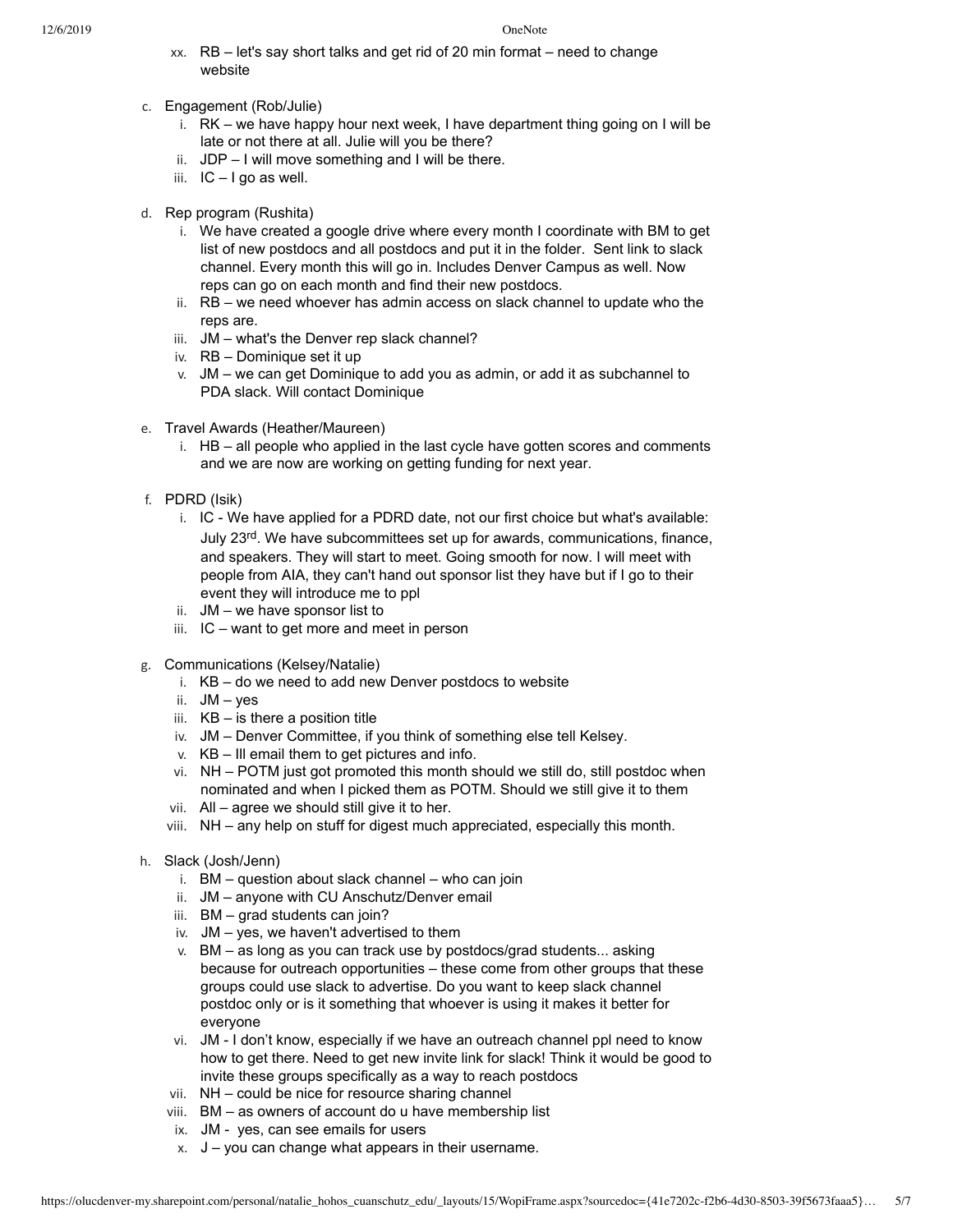- xx. RB let's say short talks and get rid of 20 min format need to change website
- c. Engagement (Rob/Julie)
	- i. RK we have happy hour next week, I have department thing going on I will be late or not there at all. Julie will you be there?
	- ii.  $JDP I$  will move something and I will be there.
	- iii. IC I go as well.
- d. Rep program (Rushita)
	- i. We have created a google drive where every month I coordinate with BM to get list of new postdocs and all postdocs and put it in the folder. Sent link to slack channel. Every month this will go in. Includes Denver Campus as well. Now reps can go on each month and find their new postdocs.
	- ii. RB we need whoever has admin access on slack channel to update who the reps are.
	- iii. JM what's the Denver rep slack channel?
	- iv. RB Dominique set it up
	- v. JM we can get Dominique to add you as admin, or add it as subchannel to PDA slack. Will contact Dominique
- e. Travel Awards (Heather/Maureen)
	- i. HB all people who applied in the last cycle have gotten scores and comments and we are now are working on getting funding for next year.
- f. PDRD (Isik)
	- i. IC We have applied for a PDRD date, not our first choice but what's available: July 23rd. We have subcommittees set up for awards, communications, finance, and speakers. They will start to meet. Going smooth for now. I will meet with people from AIA, they can't hand out sponsor list they have but if I go to their event they will introduce me to ppl
	- ii. JM we have sponsor list to
	- iii. IC want to get more and meet in person
- g. Communications (Kelsey/Natalie)
	- i. KB do we need to add new Denver postdocs to website
	- ii. JM yes
	- iii. KB is there a position title
	- iv. JM Denver Committee, if you think of something else tell Kelsey.
	- v. KB Ill email them to get pictures and info.
	- vi. NH POTM just got promoted this month should we still do, still postdoc when nominated and when I picked them as POTM. Should we still give it to them
	- vii. All agree we should still give it to her.
	- viii. NH any help on stuff for digest much appreciated, especially this month.
- h. Slack (Josh/Jenn)
	- i. BM question about slack channel who can join
	- ii. JM anyone with CU Anschutz/Denver email
	- iii. BM grad students can join?
	- iv. JM yes, we haven't advertised to them
	- v. BM as long as you can track use by postdocs/grad students... asking because for outreach opportunities – these come from other groups that these groups could use slack to advertise. Do you want to keep slack channel postdoc only or is it something that whoever is using it makes it better for everyone
	- vi. JM I don't know, especially if we have an outreach channel ppl need to know how to get there. Need to get new invite link for slack! Think it would be good to invite these groups specifically as a way to reach postdocs
	- vii. NH could be nice for resource sharing channel
	- viii. BM as owners of account do u have membership list
	- ix. JM yes, can see emails for users
	- $x. \quad J you can change what appears in their username.$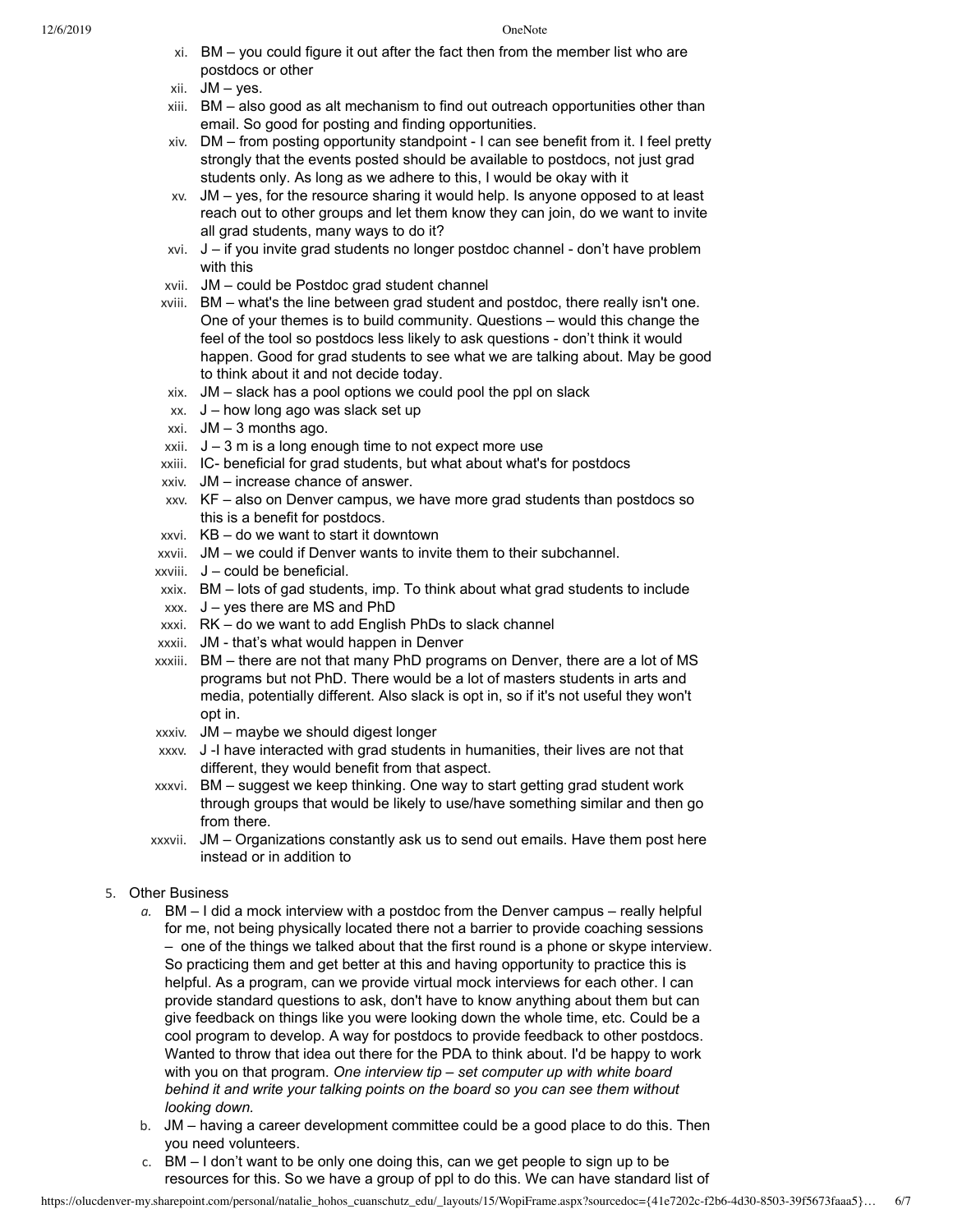- xi. BM you could figure it out after the fact then from the member list who are postdocs or other
- xii. JM yes.
- xiii. BM also good as alt mechanism to find out outreach opportunities other than email. So good for posting and finding opportunities.
- xiv. DM from posting opportunity standpoint I can see benefit from it. I feel pretty strongly that the events posted should be available to postdocs, not just grad students only. As long as we adhere to this, I would be okay with it
- xv. JM yes, for the resource sharing it would help. Is anyone opposed to at least reach out to other groups and let them know they can join, do we want to invite all grad students, many ways to do it?
- xvi. J if you invite grad students no longer postdoc channel don't have problem with this
- xvii. JM could be Postdoc grad student channel
- xviii. BM what's the line between grad student and postdoc, there really isn't one. One of your themes is to build community. Questions – would this change the feel of the tool so postdocs less likely to ask questions - don't think it would happen. Good for grad students to see what we are talking about. May be good to think about it and not decide today.
- xix. JM slack has a pool options we could pool the ppl on slack
- xx. J how long ago was slack set up
- xxi. JM 3 months ago.
- $xxi$ .  $J 3$  m is a long enough time to not expect more use
- xxiii. IC- beneficial for grad students, but what about what's for postdocs
- xxiv. JM increase chance of answer.
- xxv. KF also on Denver campus, we have more grad students than postdocs so this is a benefit for postdocs.
- xxvi. KB do we want to start it downtown
- xxvii. JM we could if Denver wants to invite them to their subchannel.
- xxviii. J could be beneficial.
- xxix. BM lots of gad students, imp. To think about what grad students to include
- $xxx.$  J yes there are MS and PhD
- xxxi. RK do we want to add English PhDs to slack channel
- xxxii. JM that's what would happen in Denver
- xxxiii. BM there are not that many PhD programs on Denver, there are a lot of MS programs but not PhD. There would be a lot of masters students in arts and media, potentially different. Also slack is opt in, so if it's not useful they won't opt in.
- xxxiv. JM maybe we should digest longer
- xxxv. J -I have interacted with grad students in humanities, their lives are not that different, they would benefit from that aspect.
- xxxvi. BM suggest we keep thinking. One way to start getting grad student work through groups that would be likely to use/have something similar and then go from there.
- xxxvii. JM Organizations constantly ask us to send out emails. Have them post here instead or in addition to
- 5. Other Business
	- *a.* BM I did a mock interview with a postdoc from the Denver campus really helpful for me, not being physically located there not a barrier to provide coaching sessions – one of the things we talked about that the first round is a phone or skype interview. So practicing them and get better at this and having opportunity to practice this is helpful. As a program, can we provide virtual mock interviews for each other. I can provide standard questions to ask, don't have to know anything about them but can give feedback on things like you were looking down the whole time, etc. Could be a cool program to develop. A way for postdocs to provide feedback to other postdocs. Wanted to throw that idea out there for the PDA to think about. I'd be happy to work with you on that program. *One interview tip – set computer up with white board behind it and write your talking points on the board so you can see them without looking down.*
	- b. JM having a career development committee could be a good place to do this. Then you need volunteers.
	- c. BM I don't want to be only one doing this, can we get people to sign up to be resources for this. So we have a group of ppl to do this. We can have standard list of